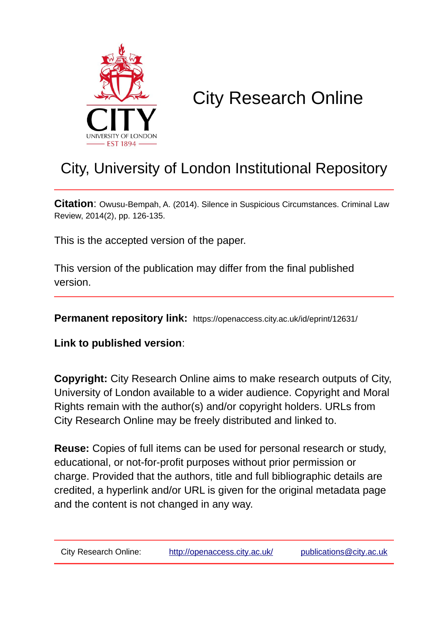

# City Research Online

## City, University of London Institutional Repository

**Citation**: Owusu-Bempah, A. (2014). Silence in Suspicious Circumstances. Criminal Law Review, 2014(2), pp. 126-135.

This is the accepted version of the paper.

This version of the publication may differ from the final published version.

**Permanent repository link:** https://openaccess.city.ac.uk/id/eprint/12631/

**Link to published version**:

**Copyright:** City Research Online aims to make research outputs of City, University of London available to a wider audience. Copyright and Moral Rights remain with the author(s) and/or copyright holders. URLs from City Research Online may be freely distributed and linked to.

**Reuse:** Copies of full items can be used for personal research or study, educational, or not-for-profit purposes without prior permission or charge. Provided that the authors, title and full bibliographic details are credited, a hyperlink and/or URL is given for the original metadata page and the content is not changed in any way.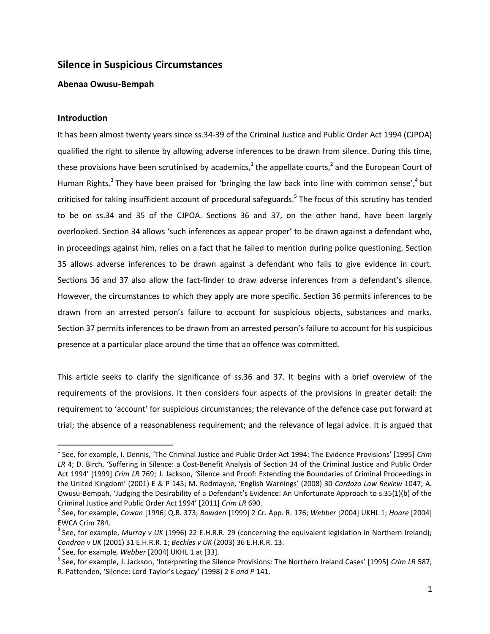### **Silence in Suspicious Circumstances**

#### **Abenaa Owusu-Bempah**

#### **Introduction**

l

It has been almost twenty years since ss.34-39 of the Criminal Justice and Public Order Act 1994 (CJPOA) qualified the right to silence by allowing adverse inferences to be drawn from silence. During this time, these provisions have been scrutinised by academics,<sup>1</sup> the appellate courts,<sup>2</sup> and the European Court of Human Rights.<sup>3</sup> They have been praised for 'bringing the law back into line with common sense',<sup>4</sup> but criticised for taking insufficient account of procedural safeguards.<sup>5</sup> The focus of this scrutiny has tended to be on ss.34 and 35 of the CJPOA. Sections 36 and 37, on the other hand, have been largely overlooked. Section 34 allows 'such inferences as appear proper' to be drawn against a defendant who, in proceedings against him, relies on a fact that he failed to mention during police questioning. Section 35 allows adverse inferences to be drawn against a defendant who fails to give evidence in court. Sections 36 and 37 also allow the fact-finder to draw adverse inferences from a defendant's silence. However, the circumstances to which they apply are more specific. Section 36 permits inferences to be drawn from an arrested person's failure to account for suspicious objects, substances and marks. Section 37 permits inferences to be drawn from an arrested person's failure to account for his suspicious presence at a particular place around the time that an offence was committed.

This article seeks to clarify the significance of ss.36 and 37. It begins with a brief overview of the requirements of the provisions. It then considers four aspects of the provisions in greater detail: the requirement to 'account' for suspicious circumstances; the relevance of the defence case put forward at trial; the absence of a reasonableness requirement; and the relevance of legal advice. It is argued that

<sup>1</sup> See, for example, I. Dennis, 'The Criminal Justice and Public Order Act 1994: The Evidence Provisions' [1995] *Crim LR* 4; D. Birch, 'Suffering in Silence: a Cost-Benefit Analysis of Section 34 of the Criminal Justice and Public Order Act 1994' [1999] *Crim LR* 769; J. Jackson, 'Silence and Proof: Extending the Boundaries of Criminal Proceedings in the United Kingdom' (2001) E & P 145; M. Redmayne, 'English Warnings' (2008) 30 *Cardozo Law Review* 1047; A. Owusu-Bempah, 'Judging the Desirability of a Defendant's Evidence: An Unfortunate Approach to s.35(1)(b) of the Criminal Justice and Public Order Act 1994' [2011] *Crim LR* 690.

<sup>2</sup> See, for example, *Cowan* [1996] Q.B. 373; *Bowden* [1999] 2 Cr. App. R. 176; *Webber* [2004] UKHL 1; *Hoare* [2004] EWCA Crim 784.

<sup>&</sup>lt;sup>3</sup> See, for example, *Murray v UK* (1996) 22 E.H.R.R. 29 (concerning the equivalent legislation in Northern Ireland); *Condron v UK* (2001) 31 E.H.R.R. 1; *Beckles v UK* (2003) 36 E.H.R.R. 13.

<sup>4</sup> See, for example, *Webber* [2004] UKHL 1 at [33].

<sup>5</sup> See, for example, J. Jackson, 'Interpreting the Silence Provisions: The Northern Ireland Cases' [1995] *Crim LR* 587; R. Pattenden, 'Silence: Lord Taylor's Legacy' (1998) 2 *E and P* 141.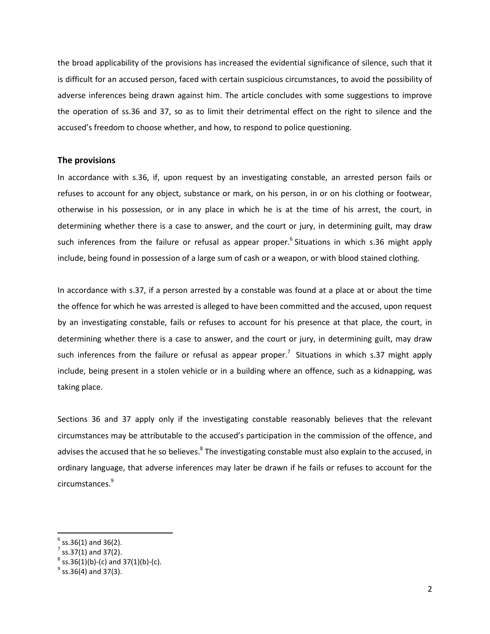the broad applicability of the provisions has increased the evidential significance of silence, such that it is difficult for an accused person, faced with certain suspicious circumstances, to avoid the possibility of adverse inferences being drawn against him. The article concludes with some suggestions to improve the operation of ss.36 and 37, so as to limit their detrimental effect on the right to silence and the accused's freedom to choose whether, and how, to respond to police questioning.

#### **The provisions**

In accordance with s.36, if, upon request by an investigating constable, an arrested person fails or refuses to account for any object, substance or mark, on his person, in or on his clothing or footwear, otherwise in his possession, or in any place in which he is at the time of his arrest, the court, in determining whether there is a case to answer, and the court or jury, in determining guilt, may draw such inferences from the failure or refusal as appear proper.<sup>6</sup> Situations in which s.36 might apply include, being found in possession of a large sum of cash or a weapon, or with blood stained clothing.

In accordance with s.37, if a person arrested by a constable was found at a place at or about the time the offence for which he was arrested is alleged to have been committed and the accused, upon request by an investigating constable, fails or refuses to account for his presence at that place, the court, in determining whether there is a case to answer, and the court or jury, in determining guilt, may draw such inferences from the failure or refusal as appear proper.<sup>7</sup> Situations in which s.37 might apply include, being present in a stolen vehicle or in a building where an offence, such as a kidnapping, was taking place.

Sections 36 and 37 apply only if the investigating constable reasonably believes that the relevant circumstances may be attributable to the accused's participation in the commission of the offence, and advises the accused that he so believes.<sup>8</sup> The investigating constable must also explain to the accused, in ordinary language, that adverse inferences may later be drawn if he fails or refuses to account for the circumstances.<sup>9</sup>

 $^6$  ss.36(1) and 36(2).<br><sup>7</sup> ss.37(1) and 37(2).

 $^8$  ss.36(1)(b)-(c) and 37(1)(b)-(c).

 $^{9}$  ss.36(4) and 37(3).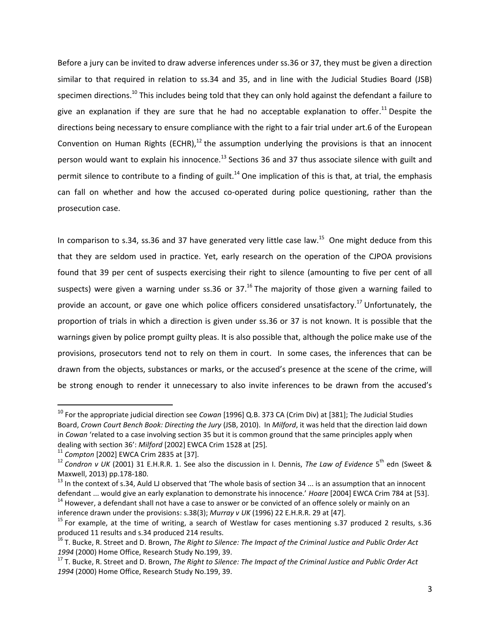Before a jury can be invited to draw adverse inferences under ss.36 or 37, they must be given a direction similar to that required in relation to ss.34 and 35, and in line with the Judicial Studies Board (JSB) specimen directions.<sup>10</sup> This includes being told that they can only hold against the defendant a failure to give an explanation if they are sure that he had no acceptable explanation to offer.<sup>11</sup> Despite the directions being necessary to ensure compliance with the right to a fair trial under art.6 of the European Convention on Human Rights (ECHR), $^{12}$  the assumption underlying the provisions is that an innocent person would want to explain his innocence.<sup>13</sup> Sections 36 and 37 thus associate silence with guilt and permit silence to contribute to a finding of guilt.<sup>14</sup> One implication of this is that, at trial, the emphasis can fall on whether and how the accused co-operated during police questioning, rather than the prosecution case.

In comparison to s.34, ss.36 and 37 have generated very little case law.<sup>15</sup> One might deduce from this that they are seldom used in practice. Yet, early research on the operation of the CJPOA provisions found that 39 per cent of suspects exercising their right to silence (amounting to five per cent of all suspects) were given a warning under ss.36 or  $37<sup>16</sup>$  The majority of those given a warning failed to provide an account, or gave one which police officers considered unsatisfactory.<sup>17</sup> Unfortunately, the proportion of trials in which a direction is given under ss.36 or 37 is not known. It is possible that the warnings given by police prompt guilty pleas. It is also possible that, although the police make use of the provisions, prosecutors tend not to rely on them in court. In some cases, the inferences that can be drawn from the objects, substances or marks, or the accused's presence at the scene of the crime, will be strong enough to render it unnecessary to also invite inferences to be drawn from the accused's

 $\overline{\phantom{a}}$ 

<sup>10</sup> For the appropriate judicial direction see *Cowan* [1996] Q.B. 373 CA (Crim Div) at [381]; The Judicial Studies Board, *Crown Court Bench Book: Directing the Jury* (JSB, 2010). In *Milford*, it was held that the direction laid down in *Cowan* 'related to a case involving section 35 but it is common ground that the same principles apply when dealing with section 36': *Milford* [2002] EWCA Crim 1528 at [25]*.*

<sup>11</sup> *Compton* [2002] EWCA Crim 2835 at [37].

<sup>&</sup>lt;sup>12</sup> Condron v UK (2001) 31 E.H.R.R. 1. See also the discussion in I. Dennis, *The Law of Evidence* 5<sup>th</sup> edn (Sweet & Maxwell, 2013) pp.178-180.

<sup>&</sup>lt;sup>13</sup> In the context of s.34, Auld LJ observed that 'The whole basis of section 34 ... is an assumption that an innocent defendant ... would give an early explanation to demonstrate his innocence.' *Hoare* [2004] EWCA Crim 784 at [53].

<sup>&</sup>lt;sup>14</sup> However, a defendant shall not have a case to answer or be convicted of an offence solely or mainly on an inference drawn under the provisions: s.38(3); *Murray v UK* (1996) 22 E.H.R.R. 29 at [47].

<sup>&</sup>lt;sup>15</sup> For example, at the time of writing, a search of Westlaw for cases mentioning s.37 produced 2 results, s.36 produced 11 results and s.34 produced 214 results.

<sup>16</sup> T. Bucke, R. Street and D. Brown, *The Right to Silence: The Impact of the Criminal Justice and Public Order Act 1994* (2000) Home Office, Research Study No.199, 39.

<sup>17</sup> T. Bucke, R. Street and D. Brown, *The Right to Silence: The Impact of the Criminal Justice and Public Order Act 1994* (2000) Home Office, Research Study No.199, 39.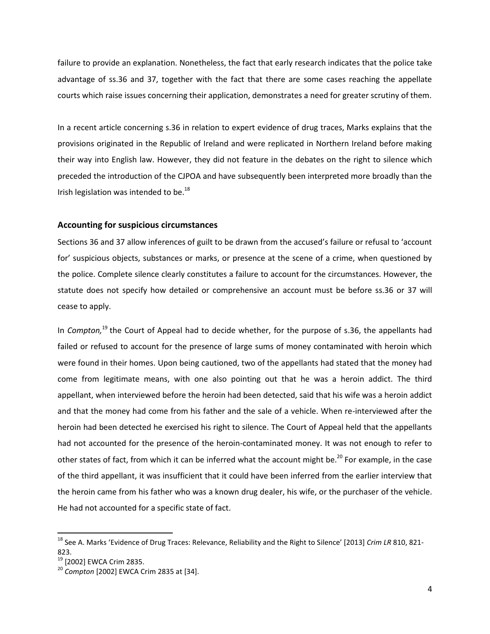failure to provide an explanation. Nonetheless, the fact that early research indicates that the police take advantage of ss.36 and 37, together with the fact that there are some cases reaching the appellate courts which raise issues concerning their application, demonstrates a need for greater scrutiny of them.

In a recent article concerning s.36 in relation to expert evidence of drug traces, Marks explains that the provisions originated in the Republic of Ireland and were replicated in Northern Ireland before making their way into English law. However, they did not feature in the debates on the right to silence which preceded the introduction of the CJPOA and have subsequently been interpreted more broadly than the Irish legislation was intended to be. $^{18}$ 

#### **Accounting for suspicious circumstances**

Sections 36 and 37 allow inferences of guilt to be drawn from the accused's failure or refusal to 'account for' suspicious objects, substances or marks, or presence at the scene of a crime, when questioned by the police. Complete silence clearly constitutes a failure to account for the circumstances. However, the statute does not specify how detailed or comprehensive an account must be before ss.36 or 37 will cease to apply.

In *Compton,*<sup>19</sup> the Court of Appeal had to decide whether, for the purpose of s.36, the appellants had failed or refused to account for the presence of large sums of money contaminated with heroin which were found in their homes. Upon being cautioned, two of the appellants had stated that the money had come from legitimate means, with one also pointing out that he was a heroin addict. The third appellant, when interviewed before the heroin had been detected, said that his wife was a heroin addict and that the money had come from his father and the sale of a vehicle. When re-interviewed after the heroin had been detected he exercised his right to silence. The Court of Appeal held that the appellants had not accounted for the presence of the heroin-contaminated money. It was not enough to refer to other states of fact, from which it can be inferred what the account might be.<sup>20</sup> For example, in the case of the third appellant, it was insufficient that it could have been inferred from the earlier interview that the heroin came from his father who was a known drug dealer, his wife, or the purchaser of the vehicle. He had not accounted for a specific state of fact.

 $\overline{a}$ 

<sup>18</sup> See A. Marks 'Evidence of Drug Traces: Relevance, Reliability and the Right to Silence' [2013] *Crim LR* 810, 821- 823.

<sup>&</sup>lt;sup>19</sup> [2002] EWCA Crim 2835.

<sup>20</sup> *Compton* [2002] EWCA Crim 2835 at [34].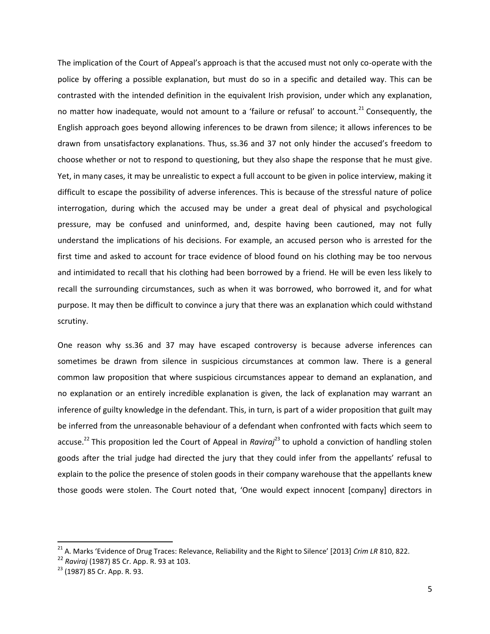The implication of the Court of Appeal's approach is that the accused must not only co-operate with the police by offering a possible explanation, but must do so in a specific and detailed way. This can be contrasted with the intended definition in the equivalent Irish provision, under which any explanation, no matter how inadequate, would not amount to a 'failure or refusal' to account.<sup>21</sup> Consequently, the English approach goes beyond allowing inferences to be drawn from silence; it allows inferences to be drawn from unsatisfactory explanations. Thus, ss.36 and 37 not only hinder the accused's freedom to choose whether or not to respond to questioning, but they also shape the response that he must give. Yet, in many cases, it may be unrealistic to expect a full account to be given in police interview, making it difficult to escape the possibility of adverse inferences. This is because of the stressful nature of police interrogation, during which the accused may be under a great deal of physical and psychological pressure, may be confused and uninformed, and, despite having been cautioned, may not fully understand the implications of his decisions. For example, an accused person who is arrested for the first time and asked to account for trace evidence of blood found on his clothing may be too nervous and intimidated to recall that his clothing had been borrowed by a friend. He will be even less likely to recall the surrounding circumstances, such as when it was borrowed, who borrowed it, and for what purpose. It may then be difficult to convince a jury that there was an explanation which could withstand scrutiny.

One reason why ss.36 and 37 may have escaped controversy is because adverse inferences can sometimes be drawn from silence in suspicious circumstances at common law. There is a general common law proposition that where suspicious circumstances appear to demand an explanation, and no explanation or an entirely incredible explanation is given, the lack of explanation may warrant an inference of guilty knowledge in the defendant. This, in turn, is part of a wider proposition that guilt may be inferred from the unreasonable behaviour of a defendant when confronted with facts which seem to accuse.<sup>22</sup> This proposition led the Court of Appeal in *Raviraj*<sup>23</sup> to uphold a conviction of handling stolen goods after the trial judge had directed the jury that they could infer from the appellants' refusal to explain to the police the presence of stolen goods in their company warehouse that the appellants knew those goods were stolen. The Court noted that, 'One would expect innocent [company] directors in

 $\overline{\phantom{a}}$ 

<sup>21</sup> A. Marks 'Evidence of Drug Traces: Relevance, Reliability and the Right to Silence' [2013] *Crim LR* 810, 822.

<sup>22</sup> *Raviraj* (1987) 85 Cr. App. R. 93 at 103.

<sup>23</sup> (1987) 85 Cr. App. R. 93.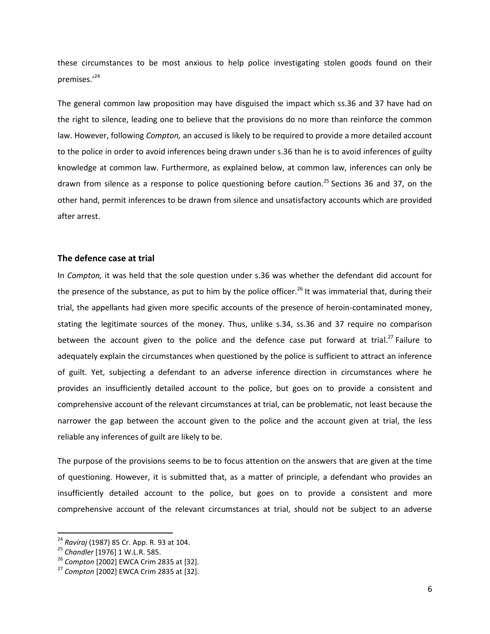these circumstances to be most anxious to help police investigating stolen goods found on their premises.'<sup>24</sup>

The general common law proposition may have disguised the impact which ss.36 and 37 have had on the right to silence, leading one to believe that the provisions do no more than reinforce the common law. However, following *Compton,* an accused is likely to be required to provide a more detailed account to the police in order to avoid inferences being drawn under s.36 than he is to avoid inferences of guilty knowledge at common law. Furthermore, as explained below, at common law, inferences can only be drawn from silence as a response to police questioning before caution.<sup>25</sup> Sections 36 and 37, on the other hand, permit inferences to be drawn from silence and unsatisfactory accounts which are provided after arrest.

#### **The defence case at trial**

In *Compton,* it was held that the sole question under s.36 was whether the defendant did account for the presence of the substance, as put to him by the police officer.<sup>26</sup> It was immaterial that, during their trial, the appellants had given more specific accounts of the presence of heroin-contaminated money, stating the legitimate sources of the money. Thus, unlike s.34, ss.36 and 37 require no comparison between the account given to the police and the defence case put forward at trial.<sup>27</sup> Failure to adequately explain the circumstances when questioned by the police is sufficient to attract an inference of guilt. Yet, subjecting a defendant to an adverse inference direction in circumstances where he provides an insufficiently detailed account to the police, but goes on to provide a consistent and comprehensive account of the relevant circumstances at trial, can be problematic, not least because the narrower the gap between the account given to the police and the account given at trial, the less reliable any inferences of guilt are likely to be.

The purpose of the provisions seems to be to focus attention on the answers that are given at the time of questioning. However, it is submitted that, as a matter of principle, a defendant who provides an insufficiently detailed account to the police, but goes on to provide a consistent and more comprehensive account of the relevant circumstances at trial, should not be subject to an adverse

 $\overline{a}$ 

<sup>24</sup> *Raviraj* (1987) 85 Cr. App. R. 93 at 104.

<sup>25</sup> *Chandler* [1976] 1 W.L.R. 585.

<sup>26</sup> *Compton* [2002] EWCA Crim 2835 at [32].

<sup>27</sup> *Compton* [2002] EWCA Crim 2835 at [32].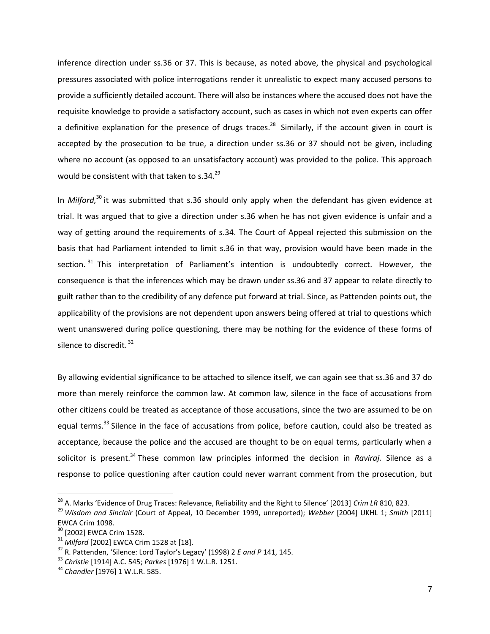inference direction under ss.36 or 37. This is because, as noted above, the physical and psychological pressures associated with police interrogations render it unrealistic to expect many accused persons to provide a sufficiently detailed account*.* There will also be instances where the accused does not have the requisite knowledge to provide a satisfactory account, such as cases in which not even experts can offer a definitive explanation for the presence of drugs traces.<sup>28</sup> Similarly, if the account given in court is accepted by the prosecution to be true, a direction under ss.36 or 37 should not be given, including where no account (as opposed to an unsatisfactory account) was provided to the police. This approach would be consistent with that taken to s.34.<sup>29</sup>

In *Milford,*<sup>30</sup> it was submitted that s.36 should only apply when the defendant has given evidence at trial. It was argued that to give a direction under s.36 when he has not given evidence is unfair and a way of getting around the requirements of s.34. The Court of Appeal rejected this submission on the basis that had Parliament intended to limit s.36 in that way, provision would have been made in the section.<sup>31</sup> This interpretation of Parliament's intention is undoubtedly correct. However, the consequence is that the inferences which may be drawn under ss.36 and 37 appear to relate directly to guilt rather than to the credibility of any defence put forward at trial. Since, as Pattenden points out, the applicability of the provisions are not dependent upon answers being offered at trial to questions which went unanswered during police questioning, there may be nothing for the evidence of these forms of silence to discredit.<sup>32</sup>

By allowing evidential significance to be attached to silence itself, we can again see that ss.36 and 37 do more than merely reinforce the common law. At common law, silence in the face of accusations from other citizens could be treated as acceptance of those accusations, since the two are assumed to be on equal terms.<sup>33</sup> Silence in the face of accusations from police, before caution, could also be treated as acceptance, because the police and the accused are thought to be on equal terms, particularly when a solicitor is present.<sup>34</sup> These common law principles informed the decision in *Raviraj*. Silence as a response to police questioning after caution could never warrant comment from the prosecution, but

 $\overline{\phantom{a}}$ 

<sup>28</sup> A. Marks 'Evidence of Drug Traces: Relevance, Reliability and the Right to Silence' [2013] *Crim LR* 810, 823.

<sup>29</sup> *Wisdom and Sinclair* (Court of Appeal, 10 December 1999, unreported); *Webber* [2004] UKHL 1; *Smith* [2011] EWCA Crim 1098.

<sup>&</sup>lt;sup>30</sup> [2002] EWCA Crim 1528.

<sup>31</sup> *Milford* [2002] EWCA Crim 1528 at [18].

<sup>32</sup> R. Pattenden, 'Silence: Lord Taylor's Legacy' (1998) 2 *E and P* 141, 145.

<sup>33</sup> *Christie* [1914] A.C. 545; *Parkes* [1976] 1 W.L.R. 1251.

<sup>34</sup> *Chandler* [1976] 1 W.L.R. 585.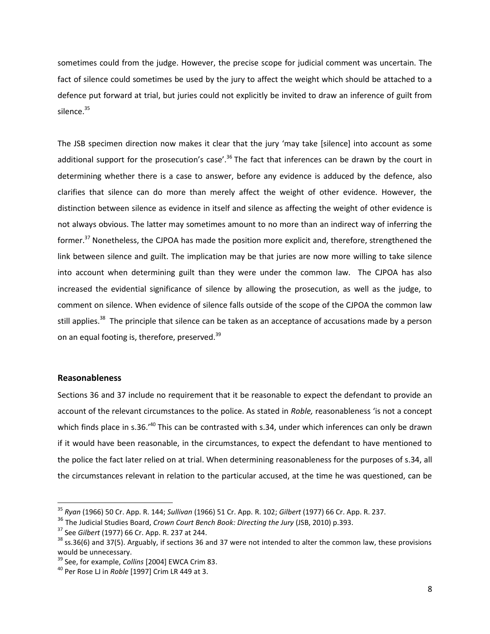sometimes could from the judge. However, the precise scope for judicial comment was uncertain. The fact of silence could sometimes be used by the jury to affect the weight which should be attached to a defence put forward at trial, but juries could not explicitly be invited to draw an inference of guilt from silence.<sup>35</sup>

The JSB specimen direction now makes it clear that the jury 'may take [silence] into account as some additional support for the prosecution's case'.<sup>36</sup> The fact that inferences can be drawn by the court in determining whether there is a case to answer, before any evidence is adduced by the defence, also clarifies that silence can do more than merely affect the weight of other evidence. However, the distinction between silence as evidence in itself and silence as affecting the weight of other evidence is not always obvious. The latter may sometimes amount to no more than an indirect way of inferring the former.<sup>37</sup> Nonetheless, the CJPOA has made the position more explicit and, therefore, strengthened the link between silence and guilt. The implication may be that juries are now more willing to take silence into account when determining guilt than they were under the common law. The CJPOA has also increased the evidential significance of silence by allowing the prosecution, as well as the judge, to comment on silence. When evidence of silence falls outside of the scope of the CJPOA the common law still applies.<sup>38</sup> The principle that silence can be taken as an acceptance of accusations made by a person on an equal footing is, therefore, preserved.<sup>39</sup>

#### **Reasonableness**

l

Sections 36 and 37 include no requirement that it be reasonable to expect the defendant to provide an account of the relevant circumstances to the police. As stated in *Roble,* reasonableness 'is not a concept which finds place in s.36.<sup>'40</sup> This can be contrasted with s.34, under which inferences can only be drawn if it would have been reasonable, in the circumstances, to expect the defendant to have mentioned to the police the fact later relied on at trial. When determining reasonableness for the purposes of s.34, all the circumstances relevant in relation to the particular accused, at the time he was questioned, can be

<sup>35</sup> *Ryan* (1966) 50 Cr. App. R. 144; *Sullivan* (1966) 51 Cr. App. R. 102; *Gilbert* (1977) 66 Cr. App. R. 237.

<sup>36</sup> The Judicial Studies Board, *Crown Court Bench Book: Directing the Jury* (JSB, 2010) p.393.

<sup>37</sup> See *Gilbert* (1977) 66 Cr. App. R. 237 at 244.

 $38$  ss.36(6) and 37(5). Arguably, if sections 36 and 37 were not intended to alter the common law, these provisions would be unnecessary.

<sup>39</sup> See, for example, *Collins* [2004] EWCA Crim 83.

<sup>40</sup> Per Rose LJ in *Roble* [1997] Crim LR 449 at 3.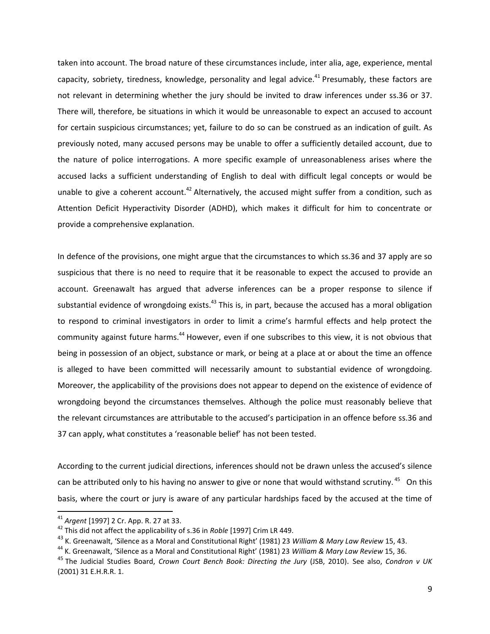taken into account. The broad nature of these circumstances include, inter alia, age, experience, mental capacity, sobriety, tiredness, knowledge, personality and legal advice.<sup>41</sup> Presumably, these factors are not relevant in determining whether the jury should be invited to draw inferences under ss.36 or 37. There will, therefore, be situations in which it would be unreasonable to expect an accused to account for certain suspicious circumstances; yet, failure to do so can be construed as an indication of guilt. As previously noted, many accused persons may be unable to offer a sufficiently detailed account, due to the nature of police interrogations. A more specific example of unreasonableness arises where the accused lacks a sufficient understanding of English to deal with difficult legal concepts or would be unable to give a coherent account.<sup>42</sup> Alternatively, the accused might suffer from a condition, such as Attention Deficit Hyperactivity Disorder (ADHD), which makes it difficult for him to concentrate or provide a comprehensive explanation.

In defence of the provisions, one might argue that the circumstances to which ss.36 and 37 apply are so suspicious that there is no need to require that it be reasonable to expect the accused to provide an account. Greenawalt has argued that adverse inferences can be a proper response to silence if substantial evidence of wrongdoing exists. $43$  This is, in part, because the accused has a moral obligation to respond to criminal investigators in order to limit a crime's harmful effects and help protect the community against future harms.<sup>44</sup> However, even if one subscribes to this view, it is not obvious that being in possession of an object, substance or mark, or being at a place at or about the time an offence is alleged to have been committed will necessarily amount to substantial evidence of wrongdoing. Moreover, the applicability of the provisions does not appear to depend on the existence of evidence of wrongdoing beyond the circumstances themselves. Although the police must reasonably believe that the relevant circumstances are attributable to the accused's participation in an offence before ss.36 and 37 can apply, what constitutes a 'reasonable belief' has not been tested.

According to the current judicial directions, inferences should not be drawn unless the accused's silence can be attributed only to his having no answer to give or none that would withstand scrutiny. <sup>45</sup> On this basis, where the court or jury is aware of any particular hardships faced by the accused at the time of

l

<sup>41</sup> *Argent* [1997] 2 Cr. App. R. 27 at 33.

<sup>42</sup> This did not affect the applicability of s.36 in *Roble* [1997] Crim LR 449.

<sup>43</sup> K. Greenawalt, 'Silence as a Moral and Constitutional Right' (1981) 23 *William & Mary Law Review* 15, 43.

<sup>44</sup> K. Greenawalt, 'Silence as a Moral and Constitutional Right' (1981) 23 *William & Mary Law Review* 15, 36.

<sup>45</sup> The Judicial Studies Board, *Crown Court Bench Book: Directing the Jury* (JSB, 2010). See also, *Condron v UK*  (2001) 31 E.H.R.R. 1.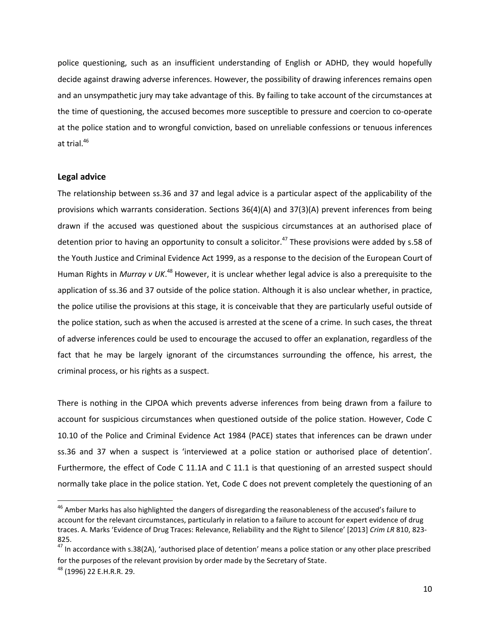police questioning, such as an insufficient understanding of English or ADHD, they would hopefully decide against drawing adverse inferences. However, the possibility of drawing inferences remains open and an unsympathetic jury may take advantage of this. By failing to take account of the circumstances at the time of questioning, the accused becomes more susceptible to pressure and coercion to co-operate at the police station and to wrongful conviction, based on unreliable confessions or tenuous inferences at trial. $46$ 

#### **Legal advice**

 $\overline{\phantom{a}}$ 

The relationship between ss.36 and 37 and legal advice is a particular aspect of the applicability of the provisions which warrants consideration. Sections 36(4)(A) and 37(3)(A) prevent inferences from being drawn if the accused was questioned about the suspicious circumstances at an authorised place of detention prior to having an opportunity to consult a solicitor.<sup>47</sup> These provisions were added by s.58 of the Youth Justice and Criminal Evidence Act 1999, as a response to the decision of the European Court of Human Rights in *Murray v UK*.<sup>48</sup> However, it is unclear whether legal advice is also a prerequisite to the application of ss.36 and 37 outside of the police station. Although it is also unclear whether, in practice, the police utilise the provisions at this stage, it is conceivable that they are particularly useful outside of the police station, such as when the accused is arrested at the scene of a crime*.* In such cases, the threat of adverse inferences could be used to encourage the accused to offer an explanation, regardless of the fact that he may be largely ignorant of the circumstances surrounding the offence, his arrest, the criminal process, or his rights as a suspect.

There is nothing in the CJPOA which prevents adverse inferences from being drawn from a failure to account for suspicious circumstances when questioned outside of the police station. However, Code C 10.10 of the Police and Criminal Evidence Act 1984 (PACE) states that inferences can be drawn under ss.36 and 37 when a suspect is 'interviewed at a police station or authorised place of detention'. Furthermore, the effect of Code C 11.1A and C 11.1 is that questioning of an arrested suspect should normally take place in the police station. Yet, Code C does not prevent completely the questioning of an

<sup>&</sup>lt;sup>46</sup> Amber Marks has also highlighted the dangers of disregarding the reasonableness of the accused's failure to account for the relevant circumstances, particularly in relation to a failure to account for expert evidence of drug traces. A. Marks 'Evidence of Drug Traces: Relevance, Reliability and the Right to Silence' [2013] *Crim LR* 810, 823- 825.

 $47$  In accordance with s.38(2A), 'authorised place of detention' means a police station or any other place prescribed for the purposes of the relevant provision by order made by the Secretary of State. <sup>48</sup> (1996) 22 E.H.R.R. 29.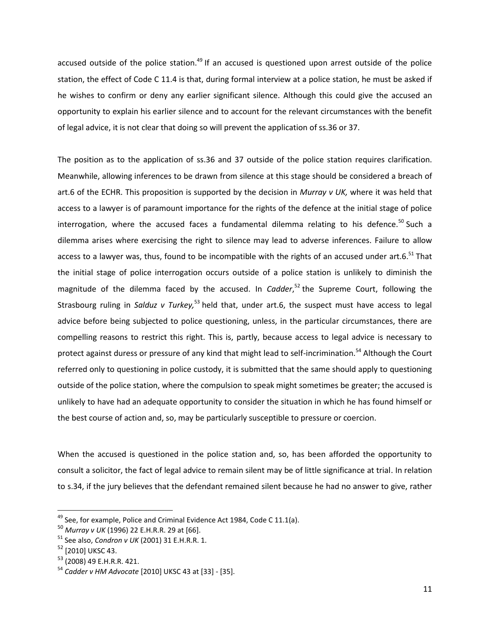accused outside of the police station.<sup>49</sup> If an accused is questioned upon arrest outside of the police station, the effect of Code C 11.4 is that, during formal interview at a police station, he must be asked if he wishes to confirm or deny any earlier significant silence. Although this could give the accused an opportunity to explain his earlier silence and to account for the relevant circumstances with the benefit of legal advice, it is not clear that doing so will prevent the application of ss.36 or 37.

The position as to the application of ss.36 and 37 outside of the police station requires clarification. Meanwhile, allowing inferences to be drawn from silence at this stage should be considered a breach of art.6 of the ECHR. This proposition is supported by the decision in *Murray v UK,* where it was held that access to a lawyer is of paramount importance for the rights of the defence at the initial stage of police interrogation, where the accused faces a fundamental dilemma relating to his defence.<sup>50</sup> Such a dilemma arises where exercising the right to silence may lead to adverse inferences. Failure to allow access to a lawyer was, thus, found to be incompatible with the rights of an accused under art.6.<sup>51</sup> That the initial stage of police interrogation occurs outside of a police station is unlikely to diminish the magnitude of the dilemma faced by the accused. In *Cadder*,<sup>52</sup> the Supreme Court, following the Strasbourg ruling in *Salduz v Turkey*,<sup>53</sup> held that, under art.6, the suspect must have access to legal advice before being subjected to police questioning, unless, in the particular circumstances, there are compelling reasons to restrict this right. This is, partly, because access to legal advice is necessary to protect against duress or pressure of any kind that might lead to self-incrimination.<sup>54</sup> Although the Court referred only to questioning in police custody, it is submitted that the same should apply to questioning outside of the police station, where the compulsion to speak might sometimes be greater; the accused is unlikely to have had an adequate opportunity to consider the situation in which he has found himself or the best course of action and, so, may be particularly susceptible to pressure or coercion.

When the accused is questioned in the police station and, so, has been afforded the opportunity to consult a solicitor, the fact of legal advice to remain silent may be of little significance at trial. In relation to s.34, if the jury believes that the defendant remained silent because he had no answer to give, rather

 $\overline{a}$ 

 $49$  See, for example, Police and Criminal Evidence Act 1984, Code C 11.1(a).

<sup>50</sup> *Murray v UK* (1996) 22 E.H.R.R. 29 at [66].

<sup>51</sup> See also, *Condron v UK* (2001) 31 E.H.R.R. 1.

<sup>52</sup> [2010] UKSC 43.

<sup>53</sup> (2008) 49 E.H.R.R. 421.

<sup>54</sup> *Cadder v HM Advocate* [2010] UKSC 43 at [33] - [35].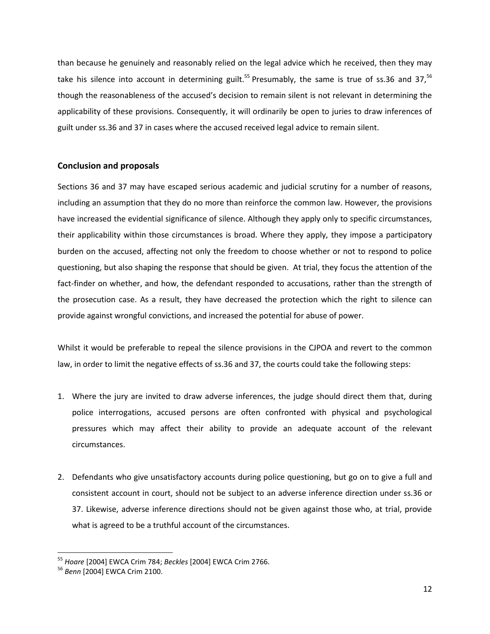than because he genuinely and reasonably relied on the legal advice which he received, then they may take his silence into account in determining guilt.<sup>55</sup> Presumably, the same is true of ss.36 and 37,<sup>56</sup> though the reasonableness of the accused's decision to remain silent is not relevant in determining the applicability of these provisions. Consequently, it will ordinarily be open to juries to draw inferences of guilt under ss.36 and 37 in cases where the accused received legal advice to remain silent.

#### **Conclusion and proposals**

Sections 36 and 37 may have escaped serious academic and judicial scrutiny for a number of reasons, including an assumption that they do no more than reinforce the common law. However, the provisions have increased the evidential significance of silence. Although they apply only to specific circumstances, their applicability within those circumstances is broad. Where they apply, they impose a participatory burden on the accused, affecting not only the freedom to choose whether or not to respond to police questioning, but also shaping the response that should be given. At trial, they focus the attention of the fact-finder on whether, and how, the defendant responded to accusations, rather than the strength of the prosecution case. As a result, they have decreased the protection which the right to silence can provide against wrongful convictions, and increased the potential for abuse of power.

Whilst it would be preferable to repeal the silence provisions in the CJPOA and revert to the common law, in order to limit the negative effects of ss.36 and 37, the courts could take the following steps:

- 1. Where the jury are invited to draw adverse inferences, the judge should direct them that, during police interrogations, accused persons are often confronted with physical and psychological pressures which may affect their ability to provide an adequate account of the relevant circumstances.
- 2. Defendants who give unsatisfactory accounts during police questioning, but go on to give a full and consistent account in court, should not be subject to an adverse inference direction under ss.36 or 37. Likewise, adverse inference directions should not be given against those who, at trial, provide what is agreed to be a truthful account of the circumstances.

l

<sup>55</sup> *Hoare* [2004] EWCA Crim 784; *Beckles* [2004] EWCA Crim 2766.

<sup>56</sup> *Benn* [2004] EWCA Crim 2100.